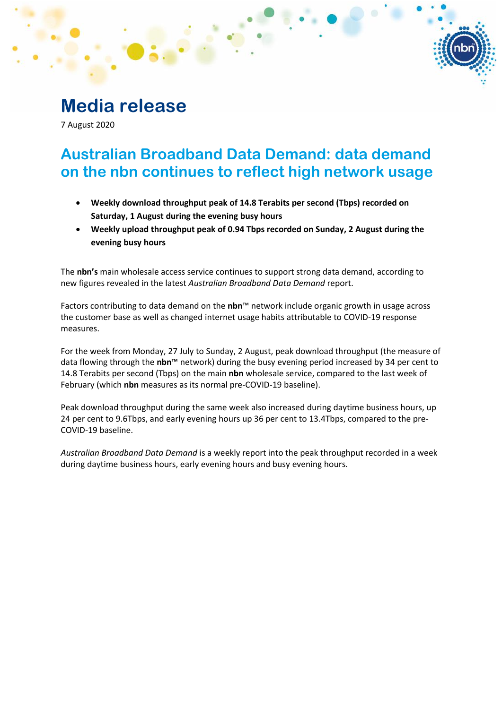# **Media release**

7 August 2020

# **Australian Broadband Data Demand: data demand on the nbn continues to reflect high network usage**

- **Weekly download throughput peak of 14.8 Terabits per second (Tbps) recorded on Saturday, 1 August during the evening busy hours**
- **Weekly upload throughput peak of 0.94 Tbps recorded on Sunday, 2 August during the evening busy hours**

The **nbn's** main wholesale access service continues to support strong data demand, according to new figures revealed in the latest *Australian Broadband Data Demand* report.

Factors contributing to data demand on the **nbn**™ network include organic growth in usage across the customer base as well as changed internet usage habits attributable to COVID-19 response measures.

For the week from Monday, 27 July to Sunday, 2 August, peak download throughput (the measure of data flowing through the **nbn**™ network) during the busy evening period increased by 34 per cent to 14.8 Terabits per second (Tbps) on the main **nbn** wholesale service, compared to the last week of February (which **nbn** measures as its normal pre-COVID-19 baseline).

Peak download throughput during the same week also increased during daytime business hours, up 24 per cent to 9.6Tbps, and early evening hours up 36 per cent to 13.4Tbps, compared to the pre-COVID-19 baseline.

*Australian Broadband Data Demand* is a weekly report into the peak throughput recorded in a week during daytime business hours, early evening hours and busy evening hours.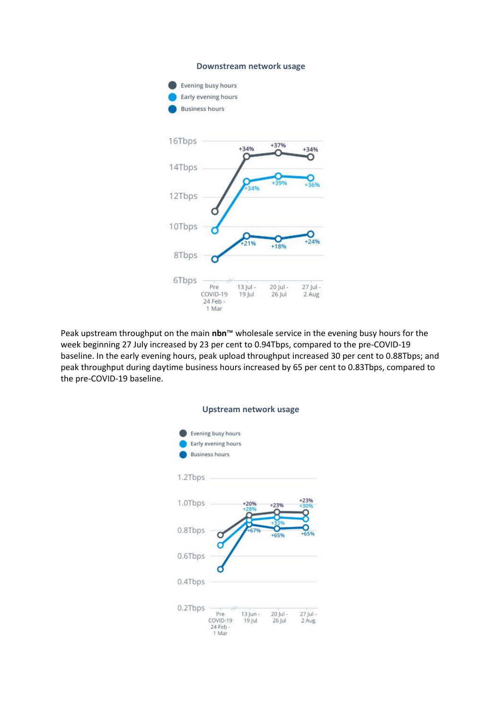#### **Downstream network usage**



Peak upstream throughput on the main **nbn**™ wholesale service in the evening busy hours for the week beginning 27 July increased by 23 per cent to 0.94Tbps, compared to the pre-COVID-19 baseline. In the early evening hours, peak upload throughput increased 30 per cent to 0.88Tbps; and peak throughput during daytime business hours increased by 65 per cent to 0.83Tbps, compared to the pre-COVID-19 baseline.

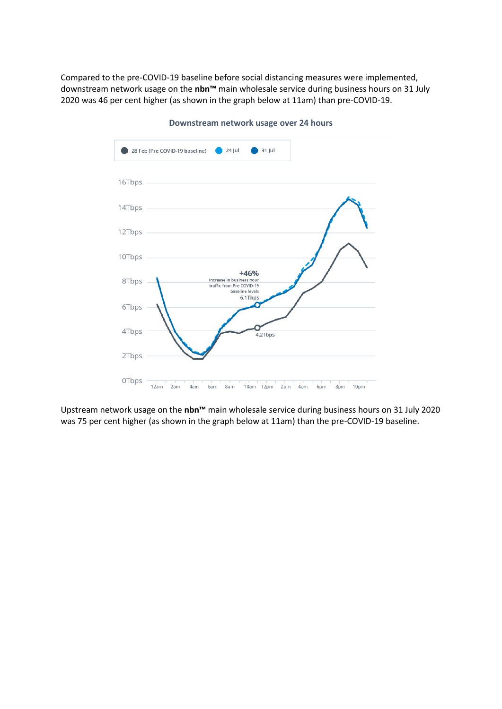Compared to the pre-COVID-19 baseline before social distancing measures were implemented, downstream network usage on the **nbn™** main wholesale service during business hours on 31 July 2020 was 46 per cent higher (as shown in the graph below at 11am) than pre-COVID-19.



**Downstream network usage over 24 hours**

Upstream network usage on the **nbn™** main wholesale service during business hours on 31 July 2020 was 75 per cent higher (as shown in the graph below at 11am) than the pre-COVID-19 baseline.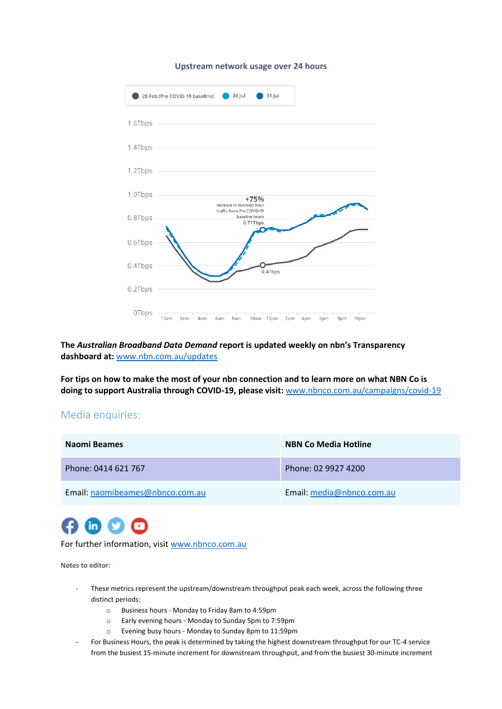#### **Upstream network usage over 24 hours**



## **The** *Australian Broadband Data Demand* **report is updated weekly on nbn's Transparency dashboard at:** [www.nbn.com.au/updates](http://www.nbn.com.au/updates)

**For tips on how to make the most of your nbn connection and to learn more on what NBN Co is doing to support Australia through COVID-19, please visit:** [www.nbnco.com.au/campaigns/covid-19](http://www.nbnco.com.au/campaigns/covid-19)

## Media enquiries:

| Naomi Beames                    | <b>NBN Co Media Hotline</b> |
|---------------------------------|-----------------------------|
| Phone: 0414 621 767             | Phone: 02 9927 4200         |
| Email: naomibeames@nbnco.com.au | Email: media@nbnco.com.au   |



For further information, visit [www.nbnco.com.au](http://www.nbnco.com.au/)

#### **Notes to editor:**

- These metrics represent the upstream/downstream throughput peak each week, across the following three distinct periods:
	- o Business hours Monday to Friday 8am to 4:59pm
	- o Early evening hours Monday to Sunday 5pm to 7:59pm
	- o Evening busy hours Monday to Sunday 8pm to 11:59pm
- For Business Hours, the peak is determined by taking the highest downstream throughput for our TC-4 service from the busiest 15-minute increment for downstream throughput, and from the busiest 30-minute increment